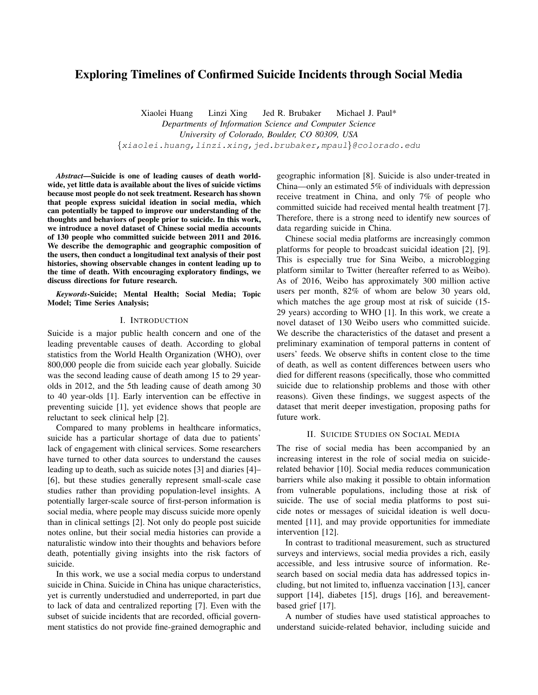# Exploring Timelines of Confirmed Suicide Incidents through Social Media

Xiaolei Huang Linzi Xing Jed R. Brubaker Michael J. Paul\* *Departments of Information Science and Computer Science University of Colorado, Boulder, CO 80309, USA* {xiaolei.huang,linzi.xing,jed.brubaker,mpaul}@colorado.edu

*Abstract*—Suicide is one of leading causes of death worldwide, yet little data is available about the lives of suicide victims because most people do not seek treatment. Research has shown that people express suicidal ideation in social media, which can potentially be tapped to improve our understanding of the thoughts and behaviors of people prior to suicide. In this work, we introduce a novel dataset of Chinese social media accounts of 130 people who committed suicide between 2011 and 2016. We describe the demographic and geographic composition of the users, then conduct a longitudinal text analysis of their post histories, showing observable changes in content leading up to the time of death. With encouraging exploratory findings, we discuss directions for future research.

*Keywords*-Suicide; Mental Health; Social Media; Topic Model; Time Series Analysis;

#### I. INTRODUCTION

Suicide is a major public health concern and one of the leading preventable causes of death. According to global statistics from the World Health Organization (WHO), over 800,000 people die from suicide each year globally. Suicide was the second leading cause of death among 15 to 29 yearolds in 2012, and the 5th leading cause of death among 30 to 40 year-olds [1]. Early intervention can be effective in preventing suicide [1], yet evidence shows that people are reluctant to seek clinical help [2].

Compared to many problems in healthcare informatics, suicide has a particular shortage of data due to patients' lack of engagement with clinical services. Some researchers have turned to other data sources to understand the causes leading up to death, such as suicide notes [3] and diaries [4]– [6], but these studies generally represent small-scale case studies rather than providing population-level insights. A potentially larger-scale source of first-person information is social media, where people may discuss suicide more openly than in clinical settings [2]. Not only do people post suicide notes online, but their social media histories can provide a naturalistic window into their thoughts and behaviors before death, potentially giving insights into the risk factors of suicide.

In this work, we use a social media corpus to understand suicide in China. Suicide in China has unique characteristics, yet is currently understudied and underreported, in part due to lack of data and centralized reporting [7]. Even with the subset of suicide incidents that are recorded, official government statistics do not provide fine-grained demographic and geographic information [8]. Suicide is also under-treated in China—only an estimated 5% of individuals with depression receive treatment in China, and only 7% of people who committed suicide had received mental health treatment [7]. Therefore, there is a strong need to identify new sources of data regarding suicide in China.

Chinese social media platforms are increasingly common platforms for people to broadcast suicidal ideation [2], [9]. This is especially true for Sina Weibo, a microblogging platform similar to Twitter (hereafter referred to as Weibo). As of 2016, Weibo has approximately 300 million active users per month, 82% of whom are below 30 years old, which matches the age group most at risk of suicide (15- 29 years) according to WHO [1]. In this work, we create a novel dataset of 130 Weibo users who committed suicide. We describe the characteristics of the dataset and present a preliminary examination of temporal patterns in content of users' feeds. We observe shifts in content close to the time of death, as well as content differences between users who died for different reasons (specifically, those who committed suicide due to relationship problems and those with other reasons). Given these findings, we suggest aspects of the dataset that merit deeper investigation, proposing paths for future work.

## II. SUICIDE STUDIES ON SOCIAL MEDIA

The rise of social media has been accompanied by an increasing interest in the role of social media on suiciderelated behavior [10]. Social media reduces communication barriers while also making it possible to obtain information from vulnerable populations, including those at risk of suicide. The use of social media platforms to post suicide notes or messages of suicidal ideation is well documented [11], and may provide opportunities for immediate intervention [12].

In contrast to traditional measurement, such as structured surveys and interviews, social media provides a rich, easily accessible, and less intrusive source of information. Research based on social media data has addressed topics including, but not limited to, influenza vaccination [13], cancer support [14], diabetes [15], drugs [16], and bereavementbased grief [17].

A number of studies have used statistical approaches to understand suicide-related behavior, including suicide and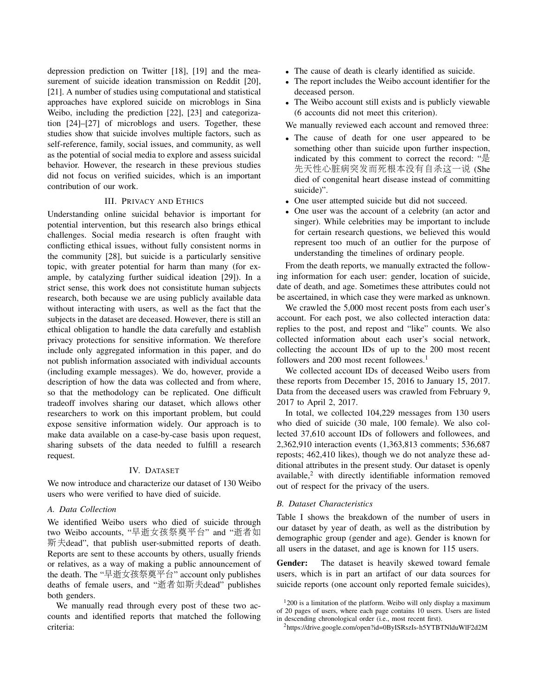depression prediction on Twitter [18], [19] and the measurement of suicide ideation transmission on Reddit [20], [21]. A number of studies using computational and statistical approaches have explored suicide on microblogs in Sina Weibo, including the prediction [22], [23] and categorization [24]–[27] of microblogs and users. Together, these studies show that suicide involves multiple factors, such as self-reference, family, social issues, and community, as well as the potential of social media to explore and assess suicidal behavior. However, the research in these previous studies did not focus on verified suicides, which is an important contribution of our work.

### III. PRIVACY AND ETHICS

Understanding online suicidal behavior is important for potential intervention, but this research also brings ethical challenges. Social media research is often fraught with conflicting ethical issues, without fully consistent norms in the community [28], but suicide is a particularly sensitive topic, with greater potential for harm than many (for example, by catalyzing further suidical ideation [29]). In a strict sense, this work does not consistitute human subjects research, both because we are using publicly available data without interacting with users, as well as the fact that the subjects in the dataset are deceased. However, there is still an ethical obligation to handle the data carefully and establish privacy protections for sensitive information. We therefore include only aggregated information in this paper, and do not publish information associated with individual accounts (including example messages). We do, however, provide a description of how the data was collected and from where, so that the methodology can be replicated. One difficult tradeoff involves sharing our dataset, which allows other researchers to work on this important problem, but could expose sensitive information widely. Our approach is to make data available on a case-by-case basis upon request, sharing subsets of the data needed to fulfill a research request.

#### IV. DATASET

We now introduce and characterize our dataset of 130 Weibo users who were verified to have died of suicide.

#### *A. Data Collection*

We identified Weibo users who died of suicide through two Weibo accounts, "早逝女孩祭奠平台" and "逝者如 <sup>斯</sup>夫dead", that publish user-submitted reports of death. Reports are sent to these accounts by others, usually friends or relatives, as a way of making a public announcement of the death. The "早逝女孩祭奠平台" account only publishes deaths of female users, and "逝者如斯夫dead" publishes both genders.

We manually read through every post of these two accounts and identified reports that matched the following criteria:

- The cause of death is clearly identified as suicide.
- The report includes the Weibo account identifier for the deceased person.
- The Weibo account still exists and is publicly viewable (6 accounts did not meet this criterion).

We manually reviewed each account and removed three:

- The cause of death for one user appeared to be something other than suicide upon further inspection, indicated by this comment to correct the record: "是 <sup>先</sup>天性心脏病突发而死根本没有自杀这一<sup>说</sup> (She died of congenital heart disease instead of committing suicide)".
- One user attempted suicide but did not succeed.
- One user was the account of a celebrity (an actor and singer). While celebrities may be important to include for certain research questions, we believed this would represent too much of an outlier for the purpose of understanding the timelines of ordinary people.

From the death reports, we manually extracted the following information for each user: gender, location of suicide, date of death, and age. Sometimes these attributes could not be ascertained, in which case they were marked as unknown.

We crawled the 5,000 most recent posts from each user's account. For each post, we also collected interaction data: replies to the post, and repost and "like" counts. We also collected information about each user's social network, collecting the account IDs of up to the 200 most recent followers and 200 most recent followees.<sup>1</sup>

We collected account IDs of deceased Weibo users from these reports from December 15, 2016 to January 15, 2017. Data from the deceased users was crawled from February 9, 2017 to April 2, 2017.

In total, we collected 104,229 messages from 130 users who died of suicide (30 male, 100 female). We also collected 37,610 account IDs of followers and followees, and 2,362,910 interaction events (1,363,813 comments; 536,687 reposts; 462,410 likes), though we do not analyze these additional attributes in the present study. Our dataset is openly available,<sup>2</sup> with directly identifiable information removed out of respect for the privacy of the users.

#### *B. Dataset Characteristics*

Table I shows the breakdown of the number of users in our dataset by year of death, as well as the distribution by demographic group (gender and age). Gender is known for all users in the dataset, and age is known for 115 users.

Gender: The dataset is heavily skewed toward female users, which is in part an artifact of our data sources for suicide reports (one account only reported female suicides),

<sup>&</sup>lt;sup>1</sup>200 is a limitation of the platform. Weibo will only display a maximum of 20 pages of users, where each page contains 10 users. Users are listed

in descending chronological order (i.e., most recent first).

<sup>2</sup>https://drive.google.com/open?id=0ByISRszIs-h5YTBTNlduWlF2d2M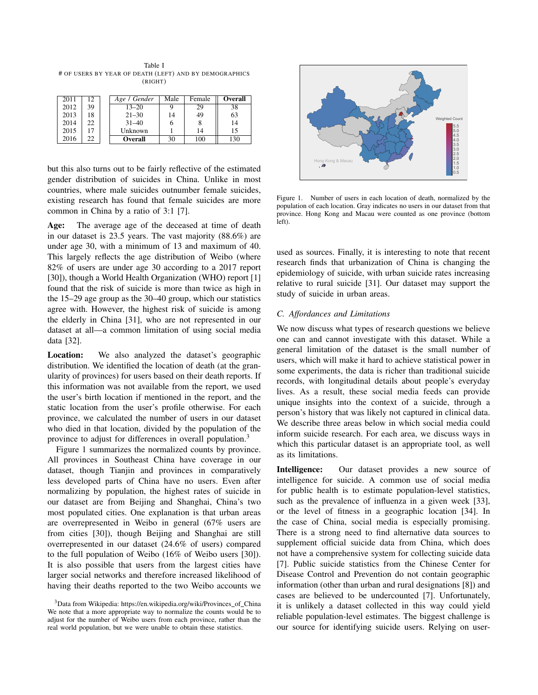Table I # OF USERS BY YEAR OF DEATH (LEFT) AND BY DEMOGRAPHICS (RIGHT)

| 2011 | 12  | Age / Gender   | Male | Female | <b>Overall</b> |
|------|-----|----------------|------|--------|----------------|
| 2012 | 39  | $13 - 20$      | Q    | 29     | 38             |
| 2013 | 18  | $21 - 30$      | 14   | 49     | 63             |
| 2014 | 22  | $31 - 40$      | n    |        | 14             |
| 2015 |     | Unknown        |      | 14     | 15             |
| 2016 | 22. | <b>Overall</b> | 30   | 100    | 130            |

but this also turns out to be fairly reflective of the estimated gender distribution of suicides in China. Unlike in most countries, where male suicides outnumber female suicides, existing research has found that female suicides are more common in China by a ratio of 3:1 [7].

Age: The average age of the deceased at time of death in our dataset is 23.5 years. The vast majority (88.6%) are under age 30, with a minimum of 13 and maximum of 40. This largely reflects the age distribution of Weibo (where 82% of users are under age 30 according to a 2017 report [30]), though a World Health Organization (WHO) report [1] found that the risk of suicide is more than twice as high in the 15–29 age group as the 30–40 group, which our statistics agree with. However, the highest risk of suicide is among the elderly in China [31], who are not represented in our dataset at all—a common limitation of using social media data [32].

Location: We also analyzed the dataset's geographic distribution. We identified the location of death (at the granularity of provinces) for users based on their death reports. If this information was not available from the report, we used the user's birth location if mentioned in the report, and the static location from the user's profile otherwise. For each province, we calculated the number of users in our dataset who died in that location, divided by the population of the province to adjust for differences in overall population.<sup>3</sup>

Figure 1 summarizes the normalized counts by province. All provinces in Southeast China have coverage in our dataset, though Tianjin and provinces in comparatively less developed parts of China have no users. Even after normalizing by population, the highest rates of suicide in our dataset are from Beijing and Shanghai, China's two most populated cities. One explanation is that urban areas are overrepresented in Weibo in general (67% users are from cities [30]), though Beijing and Shanghai are still overrepresented in our dataset (24.6% of users) compared to the full population of Weibo (16% of Weibo users [30]). It is also possible that users from the largest cities have larger social networks and therefore increased likelihood of having their deaths reported to the two Weibo accounts we



Figure 1. Number of users in each location of death, normalized by the population of each location. Gray indicates no users in our dataset from that province. Hong Kong and Macau were counted as one province (bottom left).

used as sources. Finally, it is interesting to note that recent research finds that urbanization of China is changing the epidemiology of suicide, with urban suicide rates increasing relative to rural suicide [31]. Our dataset may support the study of suicide in urban areas.

### *C. Affordances and Limitations*

We now discuss what types of research questions we believe one can and cannot investigate with this dataset. While a general limitation of the dataset is the small number of users, which will make it hard to achieve statistical power in some experiments, the data is richer than traditional suicide records, with longitudinal details about people's everyday lives. As a result, these social media feeds can provide unique insights into the context of a suicide, through a person's history that was likely not captured in clinical data. We describe three areas below in which social media could inform suicide research. For each area, we discuss ways in which this particular dataset is an appropriate tool, as well as its limitations.

Intelligence: Our dataset provides a new source of intelligence for suicide. A common use of social media for public health is to estimate population-level statistics, such as the prevalence of influenza in a given week [33], or the level of fitness in a geographic location [34]. In the case of China, social media is especially promising. There is a strong need to find alternative data sources to supplement official suicide data from China, which does not have a comprehensive system for collecting suicide data [7]. Public suicide statistics from the Chinese Center for Disease Control and Prevention do not contain geographic information (other than urban and rural designations [8]) and cases are believed to be undercounted [7]. Unfortunately, it is unlikely a dataset collected in this way could yield reliable population-level estimates. The biggest challenge is our source for identifying suicide users. Relying on user-

<sup>&</sup>lt;sup>3</sup>Data from Wikipedia: https://en.wikipedia.org/wiki/Provinces\_of\_China We note that a more appropriate way to normalize the counts would be to adjust for the number of Weibo users from each province, rather than the real world population, but we were unable to obtain these statistics.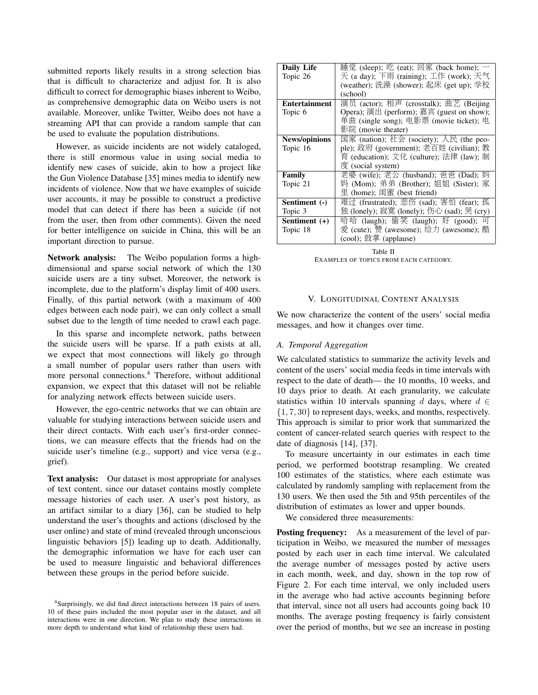submitted reports likely results in a strong selection bias that is difficult to characterize and adjust for. It is also difficult to correct for demographic biases inherent to Weibo, as comprehensive demographic data on Weibo users is not available. Moreover, unlike Twitter, Weibo does not have a streaming API that can provide a random sample that can be used to evaluate the population distributions.

However, as suicide incidents are not widely cataloged, there is still enormous value in using social media to identify new cases of suicide, akin to how a project like the Gun Violence Database [35] mines media to identify new incidents of violence. Now that we have examples of suicide user accounts, it may be possible to construct a predictive model that can detect if there has been a suicide (if not from the user, then from other comments). Given the need for better intelligence on suicide in China, this will be an important direction to pursue.

Network analysis: The Weibo population forms a highdimensional and sparse social network of which the 130 suicide users are a tiny subset. Moreover, the network is incomplete, due to the platform's display limit of 400 users. Finally, of this partial network (with a maximum of 400 edges between each node pair), we can only collect a small subset due to the length of time needed to crawl each page.

In this sparse and incomplete network, paths between the suicide users will be sparse. If a path exists at all, we expect that most connections will likely go through a small number of popular users rather than users with more personal connections.<sup>4</sup> Therefore, without additional expansion, we expect that this dataset will not be reliable for analyzing network effects between suicide users.

However, the ego-centric networks that we can obtain are valuable for studying interactions between suicide users and their direct contacts. With each user's first-order connections, we can measure effects that the friends had on the suicide user's timeline (e.g., support) and vice versa (e.g., grief).

Text analysis: Our dataset is most appropriate for analyses of text content, since our dataset contains mostly complete message histories of each user. A user's post history, as an artifact similar to a diary [36], can be studied to help understand the user's thoughts and actions (disclosed by the user online) and state of mind (revealed through unconscious linguistic behaviors [5]) leading up to death. Additionally, the demographic information we have for each user can be used to measure linguistic and behavioral differences between these groups in the period before suicide.

| <b>Daily Life</b>    | 睡觉 (sleep); 吃 (eat); 回家 (back home); 一     |  |  |
|----------------------|--------------------------------------------|--|--|
| Topic 26             | 天 (a day); 下雨 (raining); 工作 (work); 天气     |  |  |
|                      | (weather); 洗澡 (shower); 起床 (get up); 学校    |  |  |
|                      | (school)                                   |  |  |
| <b>Entertainment</b> | 演员 (actor); 相声 (crosstalk); 曲艺 (Beijing    |  |  |
| Topic 6              | Opera); 演出 (perform); 嘉宾 (guest on show);  |  |  |
|                      | 单曲 (single song); 电影票 (movie ticket); 电    |  |  |
|                      | 影院 (movie theater)                         |  |  |
| <b>News/opinions</b> | 国家 (nation); 社会 (society); 人民 (the peo-    |  |  |
| Topic 16             | ple); 政府 (government); 老百姓 (civilian); 教   |  |  |
|                      | 育 (education); 文化 (culture); 法律 (law); 制   |  |  |
|                      | 度 (social system)                          |  |  |
| Family               | 老婆 (wife); 老公 (husband); 爸爸 (Dad); 妈       |  |  |
| Topic 21             | 妈 (Mom); 弟弟 (Brother); 姐姐 (Sister); 家      |  |  |
|                      | 里 (home); 闺蜜 (best friend)                 |  |  |
| Sentiment (-)        | 难过 (frustrated); 悲伤 (sad); 害怕 (fear); 孤    |  |  |
| Topic 3              | 独 (lonely); 寂寞 (lonely); 伤心 (sad); 哭 (cry) |  |  |
| Sentiment (+)        | 哈哈 (laugh); 偷笑 (laugh); 好 (good);<br>ा ज   |  |  |
| Topic 18             | 爱 (cute); 赞 (awesome); 给力 (awesome); 酷     |  |  |
|                      | (cool); 鼓掌 (applause)                      |  |  |

Table II EXAMPLES OF TOPICS FROM EACH CATEGORY.

# V. LONGITUDINAL CONTENT ANALYSIS

We now characterize the content of the users' social media messages, and how it changes over time.

#### *A. Temporal Aggregation*

We calculated statistics to summarize the activity levels and content of the users' social media feeds in time intervals with respect to the date of death— the 10 months, 10 weeks, and 10 days prior to death. At each granularity, we calculate statistics within 10 intervals spanning d days, where  $d \in$ {1, 7, 30} to represent days, weeks, and months, respectively. This approach is similar to prior work that summarized the content of cancer-related search queries with respect to the date of diagnosis [14], [37].

To measure uncertainty in our estimates in each time period, we performed bootstrap resampling. We created 100 estimates of the statistics, where each estimate was calculated by randomly sampling with replacement from the 130 users. We then used the 5th and 95th percentiles of the distribution of estimates as lower and upper bounds.

We considered three measurements:

**Posting frequency:** As a measurement of the level of participation in Weibo, we measured the number of messages posted by each user in each time interval. We calculated the average number of messages posted by active users in each month, week, and day, shown in the top row of Figure 2. For each time interval, we only included users in the average who had active accounts beginning before that interval, since not all users had accounts going back 10 months. The average posting frequency is fairly consistent over the period of months, but we see an increase in posting

<sup>4</sup>Surprisingly, we did find direct interactions between 18 pairs of users. 10 of these pairs included the most popular user in the dataset, and all interactions were in one direction. We plan to study these interactions in more depth to understand what kind of relationship these users had.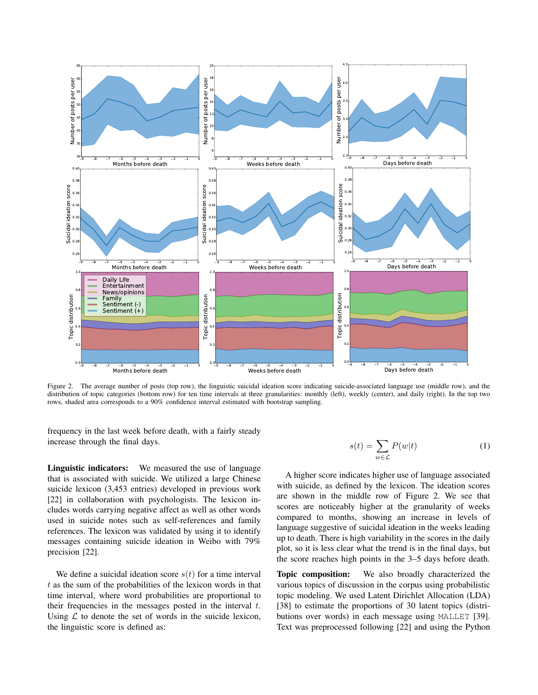

Figure 2. The average number of posts (top row), the linguistic suicidal ideation score indicating suicide-associated language use (middle row), and the distribution of topic categories (bottom row) for ten time intervals at three granularities: monthly (left), weekly (center), and daily (right). In the top two rows, shaded area corresponds to a 90% confidence interval estimated with bootstrap sampling.

frequency in the last week before death, with a fairly steady increase through the final days.

Linguistic indicators: We measured the use of language that is associated with suicide. We utilized a large Chinese suicide lexicon (3,453 entries) developed in previous work [22] in collaboration with psychologists. The lexicon includes words carrying negative affect as well as other words used in suicide notes such as self-references and family references. The lexicon was validated by using it to identify messages containing suicide ideation in Weibo with 79% precision [22].

We define a suicidal ideation score  $s(t)$  for a time interval  $t$  as the sum of the probabilities of the lexicon words in that time interval, where word probabilities are proportional to their frequencies in the messages posted in the interval  $t$ . Using  $\mathcal L$  to denote the set of words in the suicide lexicon, the linguistic score is defined as:

$$
s(t) = \sum_{w \in \mathcal{L}} P(w|t)
$$
 (1)

A higher score indicates higher use of language associated with suicide, as defined by the lexicon. The ideation scores are shown in the middle row of Figure 2. We see that scores are noticeably higher at the granularity of weeks compared to months, showing an increase in levels of language suggestive of suicidal ideation in the weeks leading up to death. There is high variability in the scores in the daily plot, so it is less clear what the trend is in the final days, but the score reaches high points in the 3–5 days before death.

Topic composition: We also broadly characterized the various topics of discussion in the corpus using probabilistic topic modeling. We used Latent Dirichlet Allocation (LDA) [38] to estimate the proportions of 30 latent topics (distributions over words) in each message using MALLET [39]. Text was preprocessed following [22] and using the Python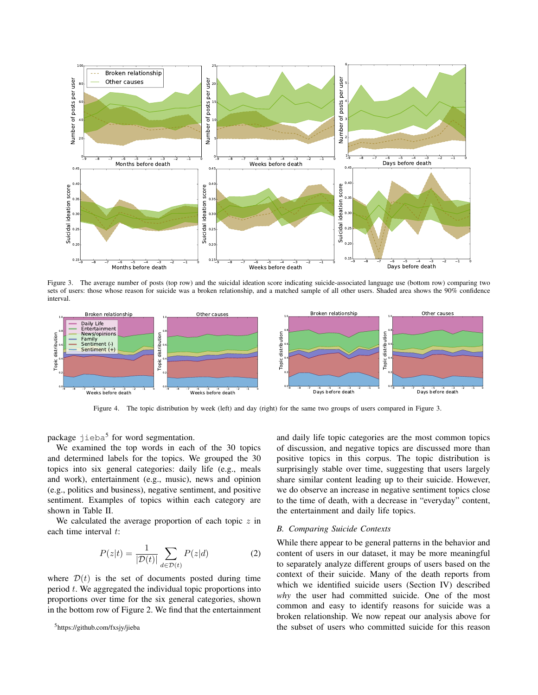

Figure 3. The average number of posts (top row) and the suicidal ideation score indicating suicide-associated language use (bottom row) comparing two sets of users: those whose reason for suicide was a broken relationship, and a matched sample of all other users. Shaded area shows the 90% confidence interval.



Figure 4. The topic distribution by week (left) and day (right) for the same two groups of users compared in Figure 3.

package jieba<sup>5</sup> for word segmentation.

We examined the top words in each of the 30 topics and determined labels for the topics. We grouped the 30 topics into six general categories: daily life (e.g., meals and work), entertainment (e.g., music), news and opinion (e.g., politics and business), negative sentiment, and positive sentiment. Examples of topics within each category are shown in Table II.

We calculated the average proportion of each topic  $z$  in each time interval  $t$ :

$$
P(z|t) = \frac{1}{|\mathcal{D}(t)|} \sum_{d \in \mathcal{D}(t)} P(z|d)
$$
 (2)

where  $\mathcal{D}(t)$  is the set of documents posted during time period  $t$ . We aggregated the individual topic proportions into proportions over time for the six general categories, shown in the bottom row of Figure 2. We find that the entertainment and daily life topic categories are the most common topics of discussion, and negative topics are discussed more than positive topics in this corpus. The topic distribution is surprisingly stable over time, suggesting that users largely share similar content leading up to their suicide. However, we do observe an increase in negative sentiment topics close to the time of death, with a decrease in "everyday" content, the entertainment and daily life topics.

#### *B. Comparing Suicide Contexts*

While there appear to be general patterns in the behavior and content of users in our dataset, it may be more meaningful to separately analyze different groups of users based on the context of their suicide. Many of the death reports from which we identified suicide users (Section IV) described *why* the user had committed suicide. One of the most common and easy to identify reasons for suicide was a broken relationship. We now repeat our analysis above for the subset of users who committed suicide for this reason

<sup>5</sup>https://github.com/fxsjy/jieba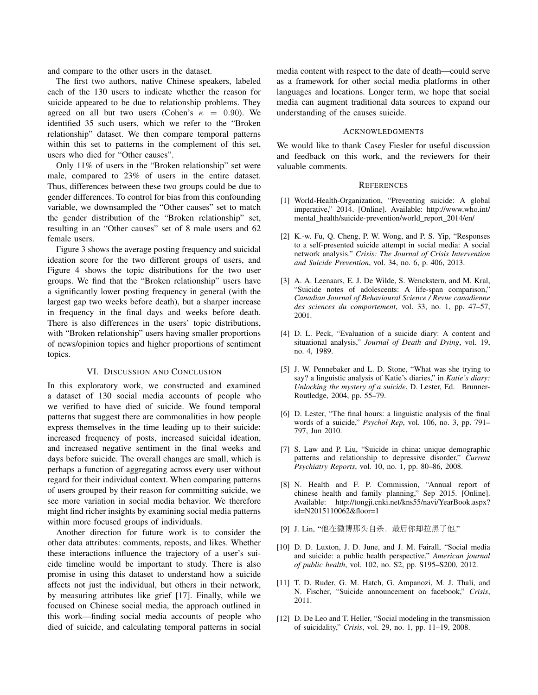and compare to the other users in the dataset.

The first two authors, native Chinese speakers, labeled each of the 130 users to indicate whether the reason for suicide appeared to be due to relationship problems. They agreed on all but two users (Cohen's  $\kappa = 0.90$ ). We identified 35 such users, which we refer to the "Broken relationship" dataset. We then compare temporal patterns within this set to patterns in the complement of this set, users who died for "Other causes".

Only 11% of users in the "Broken relationship" set were male, compared to 23% of users in the entire dataset. Thus, differences between these two groups could be due to gender differences. To control for bias from this confounding variable, we downsampled the "Other causes" set to match the gender distribution of the "Broken relationship" set, resulting in an "Other causes" set of 8 male users and 62 female users.

Figure 3 shows the average posting frequency and suicidal ideation score for the two different groups of users, and Figure 4 shows the topic distributions for the two user groups. We find that the "Broken relationship" users have a significantly lower posting frequency in general (with the largest gap two weeks before death), but a sharper increase in frequency in the final days and weeks before death. There is also differences in the users' topic distributions, with "Broken relationship" users having smaller proportions of news/opinion topics and higher proportions of sentiment topics.

#### VI. DISCUSSION AND CONCLUSION

In this exploratory work, we constructed and examined a dataset of 130 social media accounts of people who we verified to have died of suicide. We found temporal patterns that suggest there are commonalities in how people express themselves in the time leading up to their suicide: increased frequency of posts, increased suicidal ideation, and increased negative sentiment in the final weeks and days before suicide. The overall changes are small, which is perhaps a function of aggregating across every user without regard for their individual context. When comparing patterns of users grouped by their reason for committing suicide, we see more variation in social media behavior. We therefore might find richer insights by examining social media patterns within more focused groups of individuals.

Another direction for future work is to consider the other data attributes: comments, reposts, and likes. Whether these interactions influence the trajectory of a user's suicide timeline would be important to study. There is also promise in using this dataset to understand how a suicide affects not just the individual, but others in their network, by measuring attributes like grief [17]. Finally, while we focused on Chinese social media, the approach outlined in this work—finding social media accounts of people who died of suicide, and calculating temporal patterns in social media content with respect to the date of death—could serve as a framework for other social media platforms in other languages and locations. Longer term, we hope that social media can augment traditional data sources to expand our understanding of the causes suicide.

#### **ACKNOWLEDGMENTS**

We would like to thank Casey Fiesler for useful discussion and feedback on this work, and the reviewers for their valuable comments.

#### **REFERENCES**

- [1] World-Health-Organization, "Preventing suicide: A global imperative," 2014. [Online]. Available: http://www.who.int/ mental\_health/suicide-prevention/world\_report\_2014/en/
- [2] K.-w. Fu, Q. Cheng, P. W. Wong, and P. S. Yip, "Responses to a self-presented suicide attempt in social media: A social network analysis." *Crisis: The Journal of Crisis Intervention and Suicide Prevention*, vol. 34, no. 6, p. 406, 2013.
- [3] A. A. Leenaars, E. J. De Wilde, S. Wenckstern, and M. Kral, "Suicide notes of adolescents: A life-span comparison," *Canadian Journal of Behavioural Science / Revue canadienne des sciences du comportement*, vol. 33, no. 1, pp. 47–57, 2001.
- [4] D. L. Peck, "Evaluation of a suicide diary: A content and situational analysis," *Journal of Death and Dying*, vol. 19, no. 4, 1989.
- [5] J. W. Pennebaker and L. D. Stone, "What was she trying to say? a linguistic analysis of Katie's diaries," in *Katie's diary: Unlocking the mystery of a suicide*, D. Lester, Ed. Brunner-Routledge, 2004, pp. 55–79.
- [6] D. Lester, "The final hours: a linguistic analysis of the final words of a suicide," *Psychol Rep*, vol. 106, no. 3, pp. 791– 797, Jun 2010.
- [7] S. Law and P. Liu, "Suicide in china: unique demographic patterns and relationship to depressive disorder," *Current Psychiatry Reports*, vol. 10, no. 1, pp. 80–86, 2008.
- [8] N. Health and F. P. Commission, "Annual report of chinese health and family planning," Sep 2015. [Online]. Available: http://tongji.cnki.net/kns55/navi/YearBook.aspx? id=N2015110062&floor=1
- [9] J. Lin, "他在微博那头自杀,最后你却拉黑了他."
- [10] D. D. Luxton, J. D. June, and J. M. Fairall, "Social media and suicide: a public health perspective," *American journal of public health*, vol. 102, no. S2, pp. S195–S200, 2012.
- [11] T. D. Ruder, G. M. Hatch, G. Ampanozi, M. J. Thali, and N. Fischer, "Suicide announcement on facebook," *Crisis*, 2011.
- [12] D. De Leo and T. Heller, "Social modeling in the transmission of suicidality," *Crisis*, vol. 29, no. 1, pp. 11–19, 2008.